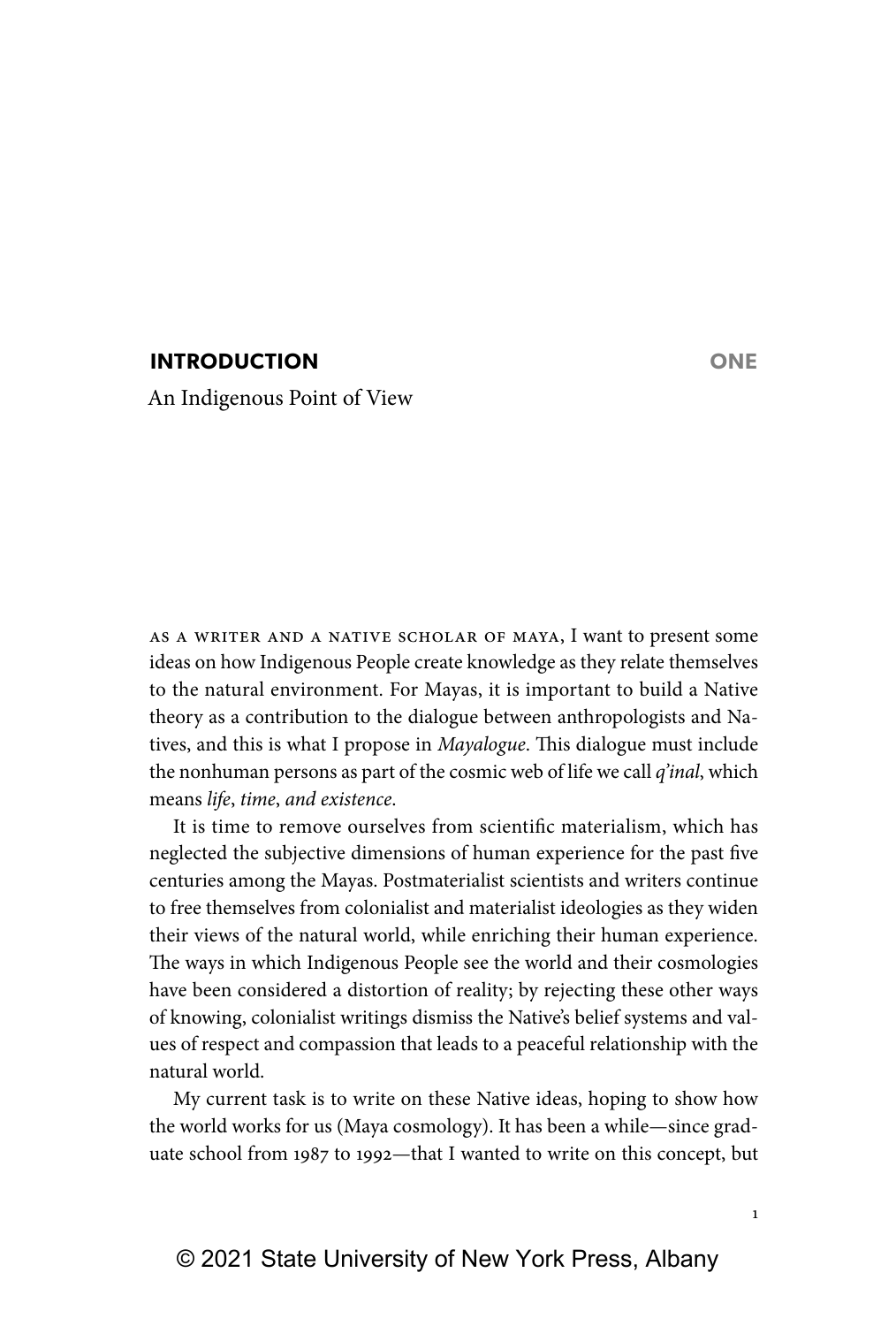# **INTRODUCTION ONE**

An Indigenous Point of View

As a writer and a Native scholar of Maya, I want to present some ideas on how Indigenous People create knowledge as they relate themselves to the natural environment. For Mayas, it is important to build a Native theory as a contribution to the dialogue between anthropologists and Natives, and this is what I propose in *Mayalogue*. This dialogue must include the nonhuman persons as part of the cosmic web of life we call *q'inal*, which means *life*, *time*, *and existence*.

It is time to remove ourselves from scientific materialism, which has neglected the subjective dimensions of human experience for the past five centuries among the Mayas. Postmaterialist scientists and writers continue to free themselves from colonialist and materialist ideologies as they widen their views of the natural world, while enriching their human experience. The ways in which Indigenous People see the world and their cosmologies have been considered a distortion of reality; by rejecting these other ways of knowing, colonialist writings dismiss the Native's belief systems and values of respect and compassion that leads to a peaceful relationship with the natural world.

My current task is to write on these Native ideas, hoping to show how the world works for us (Maya cosmology). It has been a while—since graduate school from 1987 to 1992—that I wanted to write on this concept, but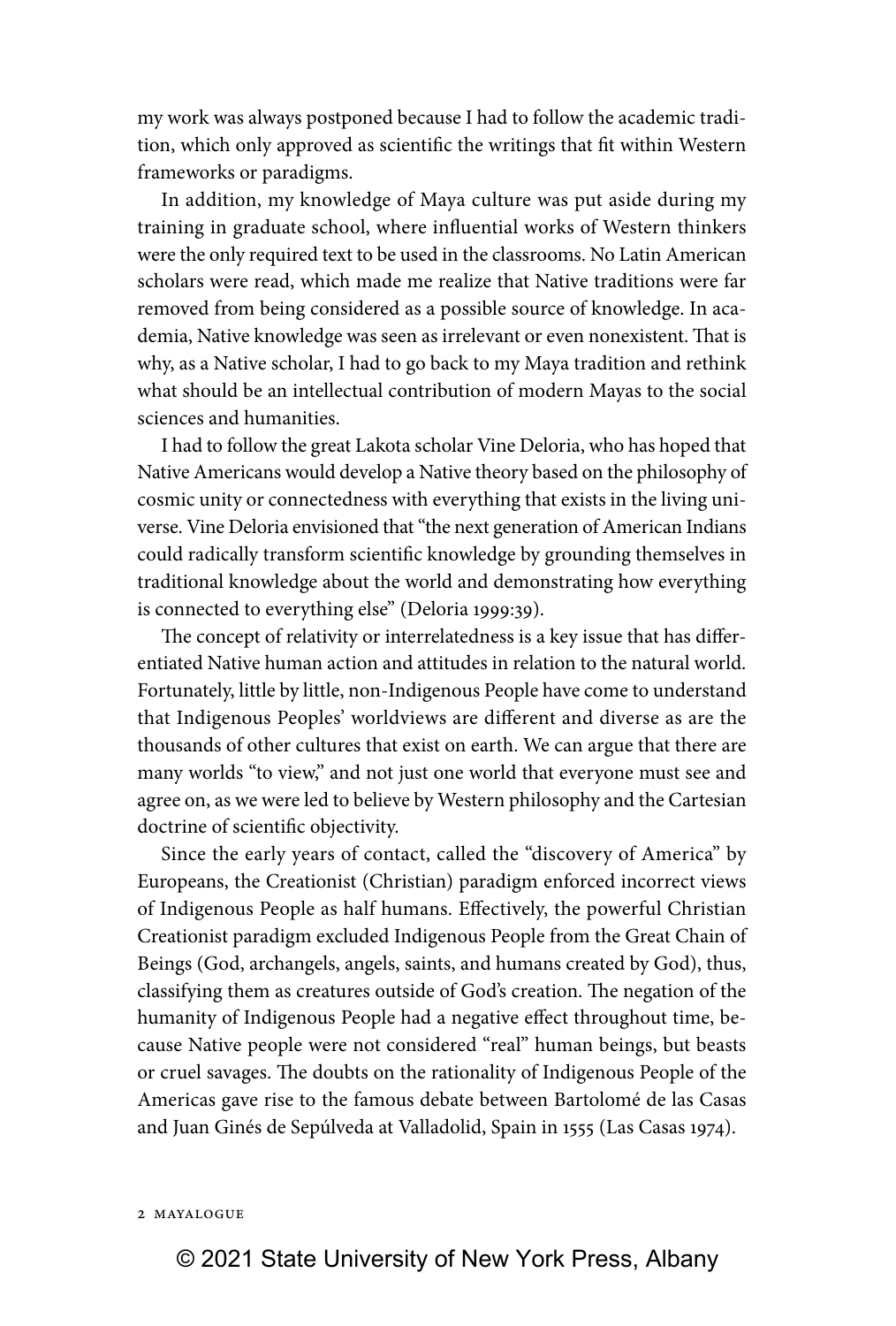my work was always postponed because I had to follow the academic tradition, which only approved as scientific the writings that fit within Western frameworks or paradigms.

In addition, my knowledge of Maya culture was put aside during my training in graduate school, where influential works of Western thinkers were the only required text to be used in the classrooms. No Latin American scholars were read, which made me realize that Native traditions were far removed from being considered as a possible source of knowledge. In academia, Native knowledge was seen as irrelevant or even nonexistent. That is why, as a Native scholar, I had to go back to my Maya tradition and rethink what should be an intellectual contribution of modern Mayas to the social sciences and humanities.

I had to follow the great Lakota scholar Vine Deloria, who has hoped that Native Americans would develop a Native theory based on the philosophy of cosmic unity or connectedness with everything that exists in the living universe. Vine Deloria envisioned that "the next generation of American Indians could radically transform scientific knowledge by grounding themselves in traditional knowledge about the world and demonstrating how everything is connected to everything else" (Deloria 1999:39).

The concept of relativity or interrelatedness is a key issue that has differentiated Native human action and attitudes in relation to the natural world. Fortunately, little by little, non-Indigenous People have come to understand that Indigenous Peoples' worldviews are different and diverse as are the thousands of other cultures that exist on earth. We can argue that there are many worlds "to view," and not just one world that everyone must see and agree on, as we were led to believe by Western philosophy and the Cartesian doctrine of scientific objectivity.

Since the early years of contact, called the "discovery of America" by Europeans, the Creationist (Christian) paradigm enforced incorrect views of Indigenous People as half humans. Effectively, the powerful Christian Creationist paradigm excluded Indigenous People from the Great Chain of Beings (God, archangels, angels, saints, and humans created by God), thus, classifying them as creatures outside of God's creation. The negation of the humanity of Indigenous People had a negative effect throughout time, because Native people were not considered "real" human beings, but beasts or cruel savages. The doubts on the rationality of Indigenous People of the Americas gave rise to the famous debate between Bartolomé de las Casas and Juan Ginés de Sepúlveda at Valladolid, Spain in 1555 (Las Casas 1974).

## 2 Mayalogue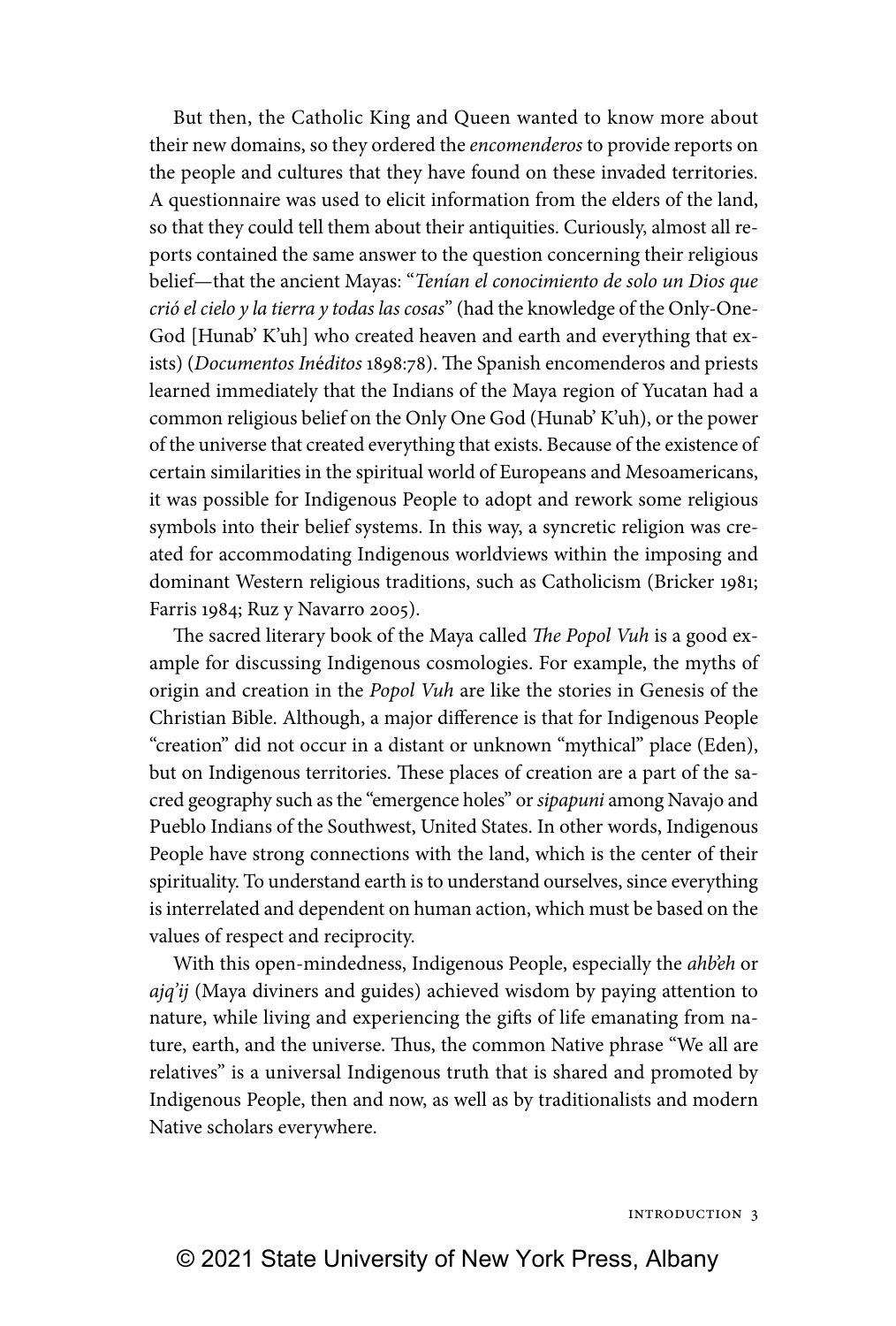But then, the Catholic King and Queen wanted to know more about their new domains, so they ordered the *encomenderos* to provide reports on the people and cultures that they have found on these invaded territories. A questionnaire was used to elicit information from the elders of the land, so that they could tell them about their antiquities. Curiously, almost all reports contained the same answer to the question concerning their religious belief—that the ancient Mayas: "*Tenían el conocimiento de solo un Dios que crió el cielo y la tierra y todas las cosas*" (had the knowledge of the Only-One-God [Hunab' K'uh] who created heaven and earth and everything that exists) (*Documentos In*é*ditos* 1898:78). The Spanish encomenderos and priests learned immediately that the Indians of the Maya region of Yucatan had a common religious belief on the Only One God (Hunab' K'uh), or the power of the universe that created everything that exists. Because of the existence of certain similarities in the spiritual world of Europeans and Mesoamericans, it was possible for Indigenous People to adopt and rework some religious symbols into their belief systems. In this way, a syncretic religion was created for accommodating Indigenous worldviews within the imposing and dominant Western religious traditions, such as Catholicism (Bricker 1981; Farris 1984; Ruz y Navarro 2005).

The sacred literary book of the Maya called *The Popol Vuh* is a good example for discussing Indigenous cosmologies. For example, the myths of origin and creation in the *Popol Vuh* are like the stories in Genesis of the Christian Bible. Although, a major difference is that for Indigenous People "creation" did not occur in a distant or unknown "mythical" place (Eden), but on Indigenous territories. These places of creation are a part of the sacred geography such as the "emergence holes" or *sipapuni* among Navajo and Pueblo Indians of the Southwest, United States. In other words, Indigenous People have strong connections with the land, which is the center of their spirituality. To understand earth is to understand ourselves, since everything is interrelated and dependent on human action, which must be based on the values of respect and reciprocity.

With this open-mindedness, Indigenous People, especially the *ahb'eh* or *ajq'ij* (Maya diviners and guides) achieved wisdom by paying attention to nature, while living and experiencing the gifts of life emanating from nature, earth, and the universe. Thus, the common Native phrase "We all are relatives" is a universal Indigenous truth that is shared and promoted by Indigenous People, then and now, as well as by traditionalists and modern Native scholars everywhere.

Introduction 3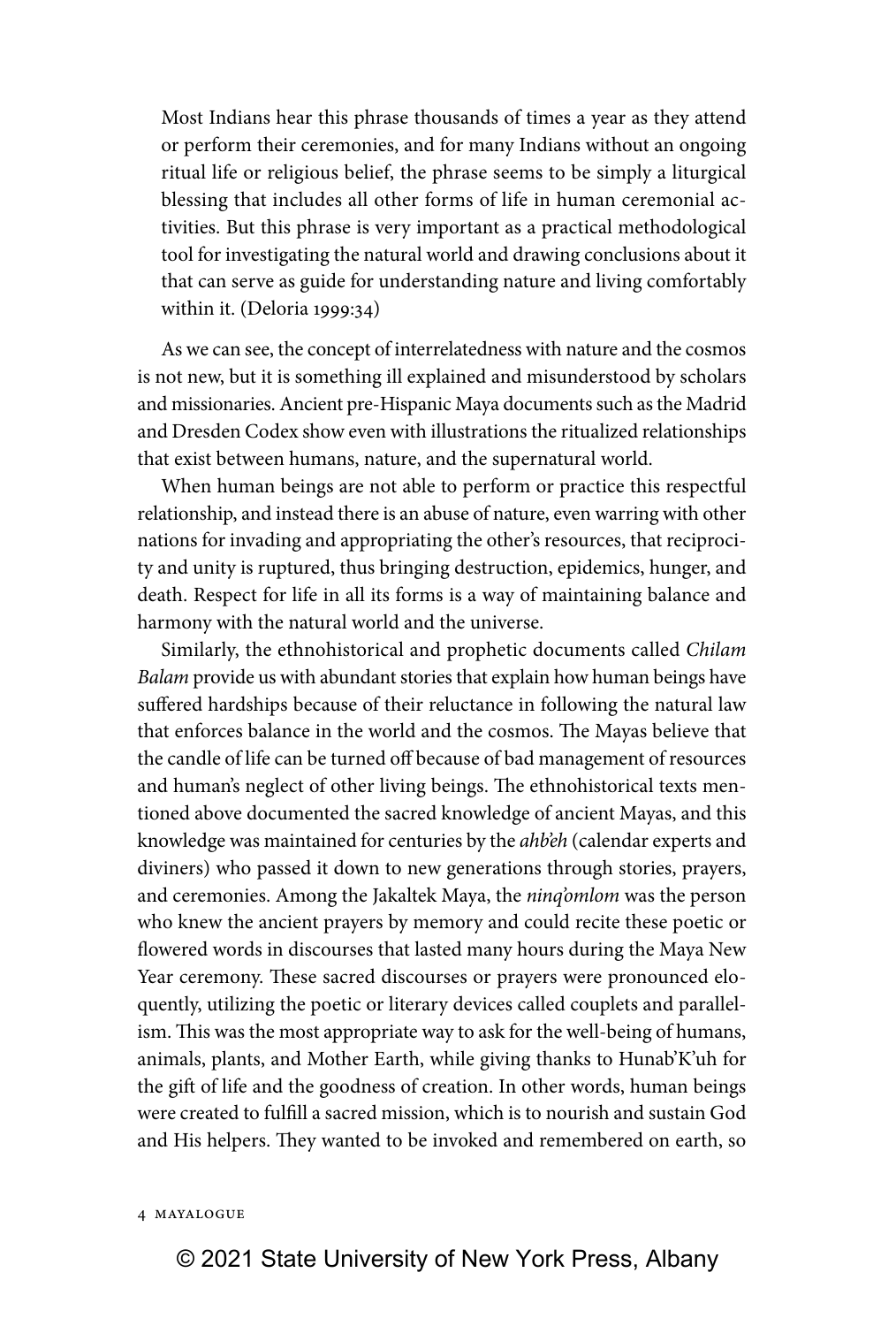Most Indians hear this phrase thousands of times a year as they attend or perform their ceremonies, and for many Indians without an ongoing ritual life or religious belief, the phrase seems to be simply a liturgical blessing that includes all other forms of life in human ceremonial activities. But this phrase is very important as a practical methodological tool for investigating the natural world and drawing conclusions about it that can serve as guide for understanding nature and living comfortably within it. (Deloria 1999:34)

As we can see, the concept of interrelatedness with nature and the cosmos is not new, but it is something ill explained and misunderstood by scholars and missionaries. Ancient pre-Hispanic Maya documents such as the Madrid and Dresden Codex show even with illustrations the ritualized relationships that exist between humans, nature, and the supernatural world.

When human beings are not able to perform or practice this respectful relationship, and instead there is an abuse of nature, even warring with other nations for invading and appropriating the other's resources, that reciprocity and unity is ruptured, thus bringing destruction, epidemics, hunger, and death. Respect for life in all its forms is a way of maintaining balance and harmony with the natural world and the universe.

Similarly, the ethnohistorical and prophetic documents called *Chilam Balam* provide us with abundant stories that explain how human beings have suffered hardships because of their reluctance in following the natural law that enforces balance in the world and the cosmos. The Mayas believe that the candle of life can be turned off because of bad management of resources and human's neglect of other living beings. The ethnohistorical texts mentioned above documented the sacred knowledge of ancient Mayas, and this knowledge was maintained for centuries by the *ahb'eh* (calendar experts and diviners) who passed it down to new generations through stories, prayers, and ceremonies. Among the Jakaltek Maya, the *ninq'omlom* was the person who knew the ancient prayers by memory and could recite these poetic or flowered words in discourses that lasted many hours during the Maya New Year ceremony. These sacred discourses or prayers were pronounced eloquently, utilizing the poetic or literary devices called couplets and parallelism. This was the most appropriate way to ask for the well-being of humans, animals, plants, and Mother Earth, while giving thanks to Hunab'K'uh for the gift of life and the goodness of creation. In other words, human beings were created to fulfill a sacred mission, which is to nourish and sustain God and His helpers. They wanted to be invoked and remembered on earth, so

## 4 Mayalogue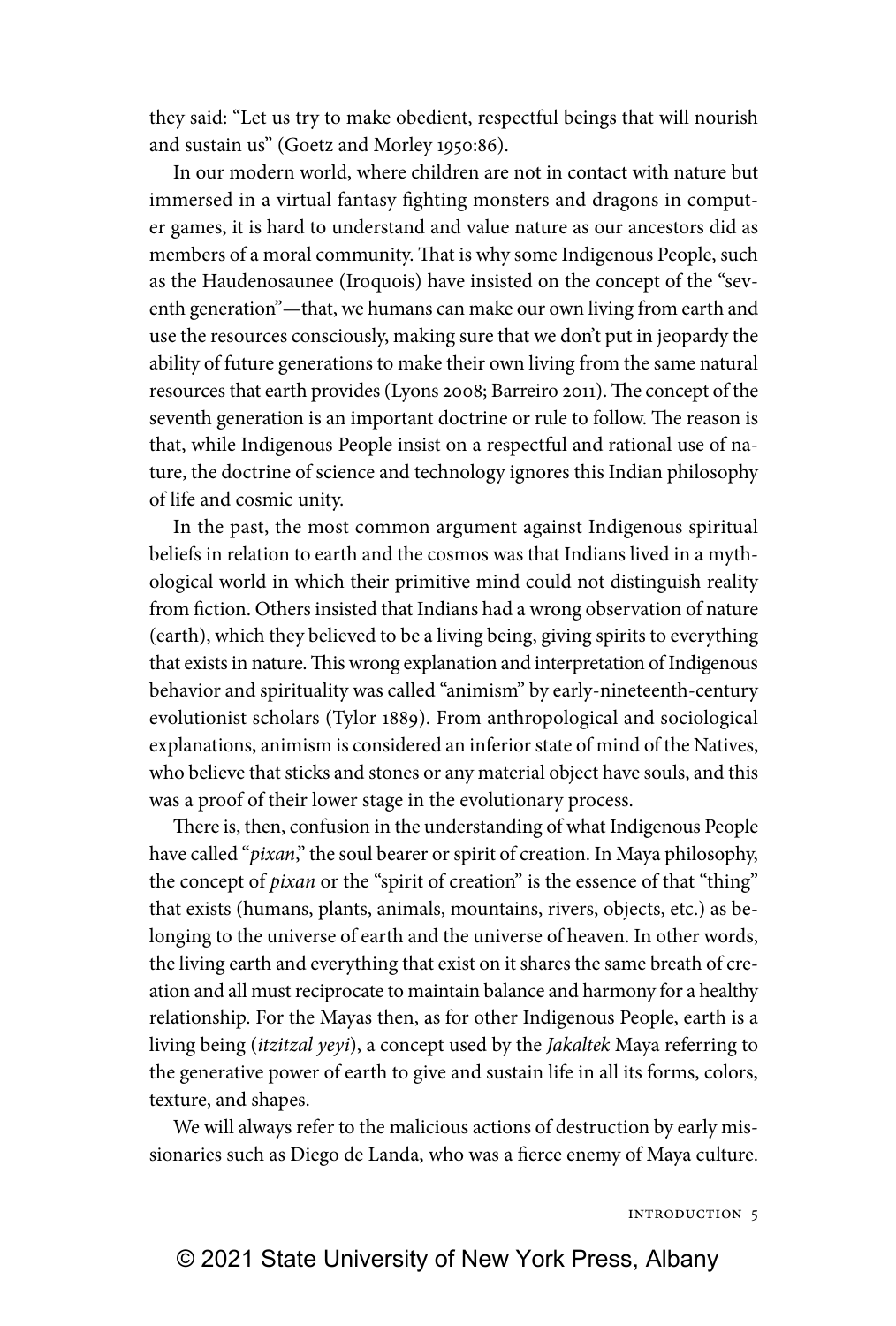they said: "Let us try to make obedient, respectful beings that will nourish and sustain us" (Goetz and Morley 1950:86).

In our modern world, where children are not in contact with nature but immersed in a virtual fantasy fighting monsters and dragons in computer games, it is hard to understand and value nature as our ancestors did as members of a moral community. That is why some Indigenous People, such as the Haudenosaunee (Iroquois) have insisted on the concept of the "seventh generation"—that, we humans can make our own living from earth and use the resources consciously, making sure that we don't put in jeopardy the ability of future generations to make their own living from the same natural resources that earth provides (Lyons 2008; Barreiro 2011). The concept of the seventh generation is an important doctrine or rule to follow. The reason is that, while Indigenous People insist on a respectful and rational use of nature, the doctrine of science and technology ignores this Indian philosophy of life and cosmic unity.

In the past, the most common argument against Indigenous spiritual beliefs in relation to earth and the cosmos was that Indians lived in a mythological world in which their primitive mind could not distinguish reality from fiction. Others insisted that Indians had a wrong observation of nature (earth), which they believed to be a living being, giving spirits to everything that exists in nature. This wrong explanation and interpretation of Indigenous behavior and spirituality was called "animism" by early-nineteenth-century evolutionist scholars (Tylor 1889). From anthropological and sociological explanations, animism is considered an inferior state of mind of the Natives, who believe that sticks and stones or any material object have souls, and this was a proof of their lower stage in the evolutionary process.

There is, then, confusion in the understanding of what Indigenous People have called "*pixan*," the soul bearer or spirit of creation. In Maya philosophy, the concept of *pixan* or the "spirit of creation" is the essence of that "thing" that exists (humans, plants, animals, mountains, rivers, objects, etc.) as belonging to the universe of earth and the universe of heaven. In other words, the living earth and everything that exist on it shares the same breath of creation and all must reciprocate to maintain balance and harmony for a healthy relationship. For the Mayas then, as for other Indigenous People, earth is a living being (*itzitzal yeyi*), a concept used by the *Jakaltek* Maya referring to the generative power of earth to give and sustain life in all its forms, colors, texture, and shapes.

We will always refer to the malicious actions of destruction by early missionaries such as Diego de Landa, who was a fierce enemy of Maya culture.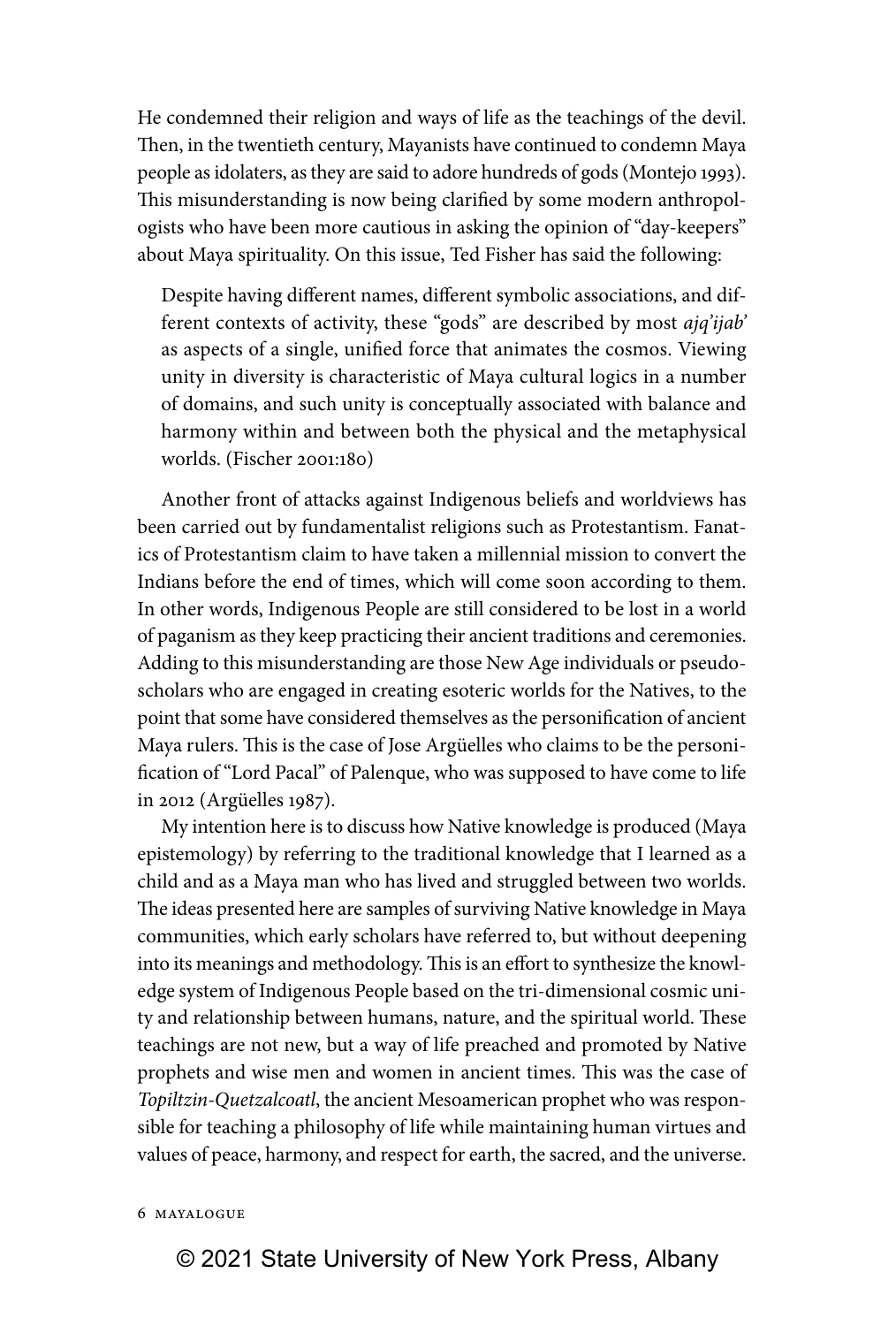He condemned their religion and ways of life as the teachings of the devil. Then, in the twentieth century, Mayanists have continued to condemn Maya people as idolaters, as they are said to adore hundreds of gods (Montejo 1993). This misunderstanding is now being clarified by some modern anthropologists who have been more cautious in asking the opinion of "day-keepers" about Maya spirituality. On this issue, Ted Fisher has said the following:

Despite having different names, different symbolic associations, and different contexts of activity, these "gods" are described by most *ajq'ijab'* as aspects of a single, unified force that animates the cosmos. Viewing unity in diversity is characteristic of Maya cultural logics in a number of domains, and such unity is conceptually associated with balance and harmony within and between both the physical and the metaphysical worlds. (Fischer 2001:180)

Another front of attacks against Indigenous beliefs and worldviews has been carried out by fundamentalist religions such as Protestantism. Fanatics of Protestantism claim to have taken a millennial mission to convert the Indians before the end of times, which will come soon according to them. In other words, Indigenous People are still considered to be lost in a world of paganism as they keep practicing their ancient traditions and ceremonies. Adding to this misunderstanding are those New Age individuals or pseudoscholars who are engaged in creating esoteric worlds for the Natives, to the point that some have considered themselves as the personification of ancient Maya rulers. This is the case of Jose Argüelles who claims to be the personification of "Lord Pacal" of Palenque, who was supposed to have come to life in 2012 (Argüelles 1987).

My intention here is to discuss how Native knowledge is produced (Maya epistemology) by referring to the traditional knowledge that I learned as a child and as a Maya man who has lived and struggled between two worlds. The ideas presented here are samples of surviving Native knowledge in Maya communities, which early scholars have referred to, but without deepening into its meanings and methodology. This is an effort to synthesize the knowledge system of Indigenous People based on the tri-dimensional cosmic unity and relationship between humans, nature, and the spiritual world. These teachings are not new, but a way of life preached and promoted by Native prophets and wise men and women in ancient times. This was the case of *Topiltzin-Quetzalcoatl*, the ancient Mesoamerican prophet who was responsible for teaching a philosophy of life while maintaining human virtues and values of peace, harmony, and respect for earth, the sacred, and the universe.

### 6 Mayalogue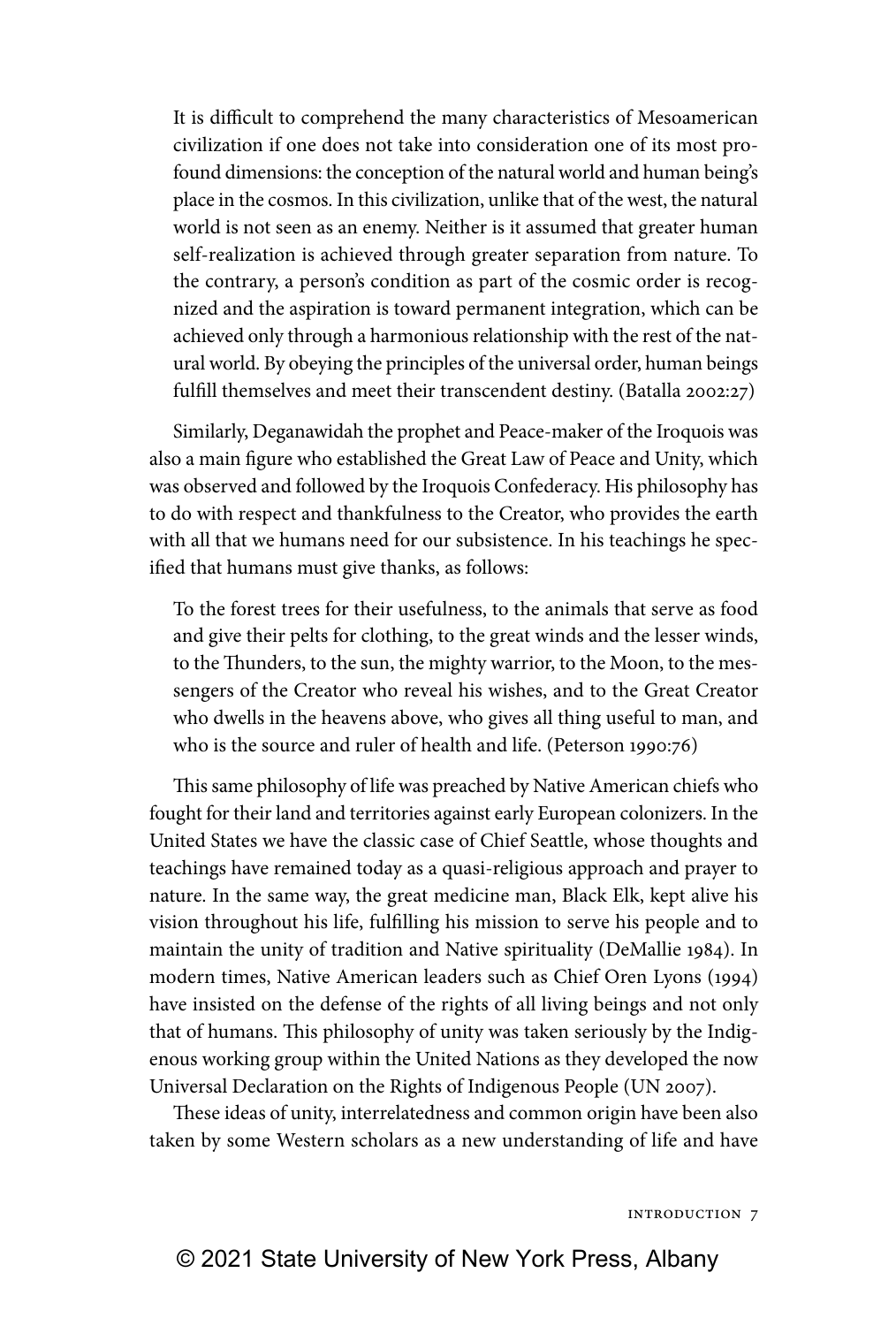It is difficult to comprehend the many characteristics of Mesoamerican civilization if one does not take into consideration one of its most profound dimensions: the conception of the natural world and human being's place in the cosmos. In this civilization, unlike that of the west, the natural world is not seen as an enemy. Neither is it assumed that greater human self-realization is achieved through greater separation from nature. To the contrary, a person's condition as part of the cosmic order is recognized and the aspiration is toward permanent integration, which can be achieved only through a harmonious relationship with the rest of the natural world. By obeying the principles of the universal order, human beings fulfill themselves and meet their transcendent destiny. (Batalla 2002:27)

Similarly, Deganawidah the prophet and Peace-maker of the Iroquois was also a main figure who established the Great Law of Peace and Unity, which was observed and followed by the Iroquois Confederacy. His philosophy has to do with respect and thankfulness to the Creator, who provides the earth with all that we humans need for our subsistence. In his teachings he specified that humans must give thanks, as follows:

To the forest trees for their usefulness, to the animals that serve as food and give their pelts for clothing, to the great winds and the lesser winds, to the Thunders, to the sun, the mighty warrior, to the Moon, to the messengers of the Creator who reveal his wishes, and to the Great Creator who dwells in the heavens above, who gives all thing useful to man, and who is the source and ruler of health and life. (Peterson 1990:76)

This same philosophy of life was preached by Native American chiefs who fought for their land and territories against early European colonizers. In the United States we have the classic case of Chief Seattle, whose thoughts and teachings have remained today as a quasi-religious approach and prayer to nature. In the same way, the great medicine man, Black Elk, kept alive his vision throughout his life, fulfilling his mission to serve his people and to maintain the unity of tradition and Native spirituality (DeMallie 1984). In modern times, Native American leaders such as Chief Oren Lyons (1994) have insisted on the defense of the rights of all living beings and not only that of humans. This philosophy of unity was taken seriously by the Indigenous working group within the United Nations as they developed the now Universal Declaration on the Rights of Indigenous People (UN 2007).

These ideas of unity, interrelatedness and common origin have been also taken by some Western scholars as a new understanding of life and have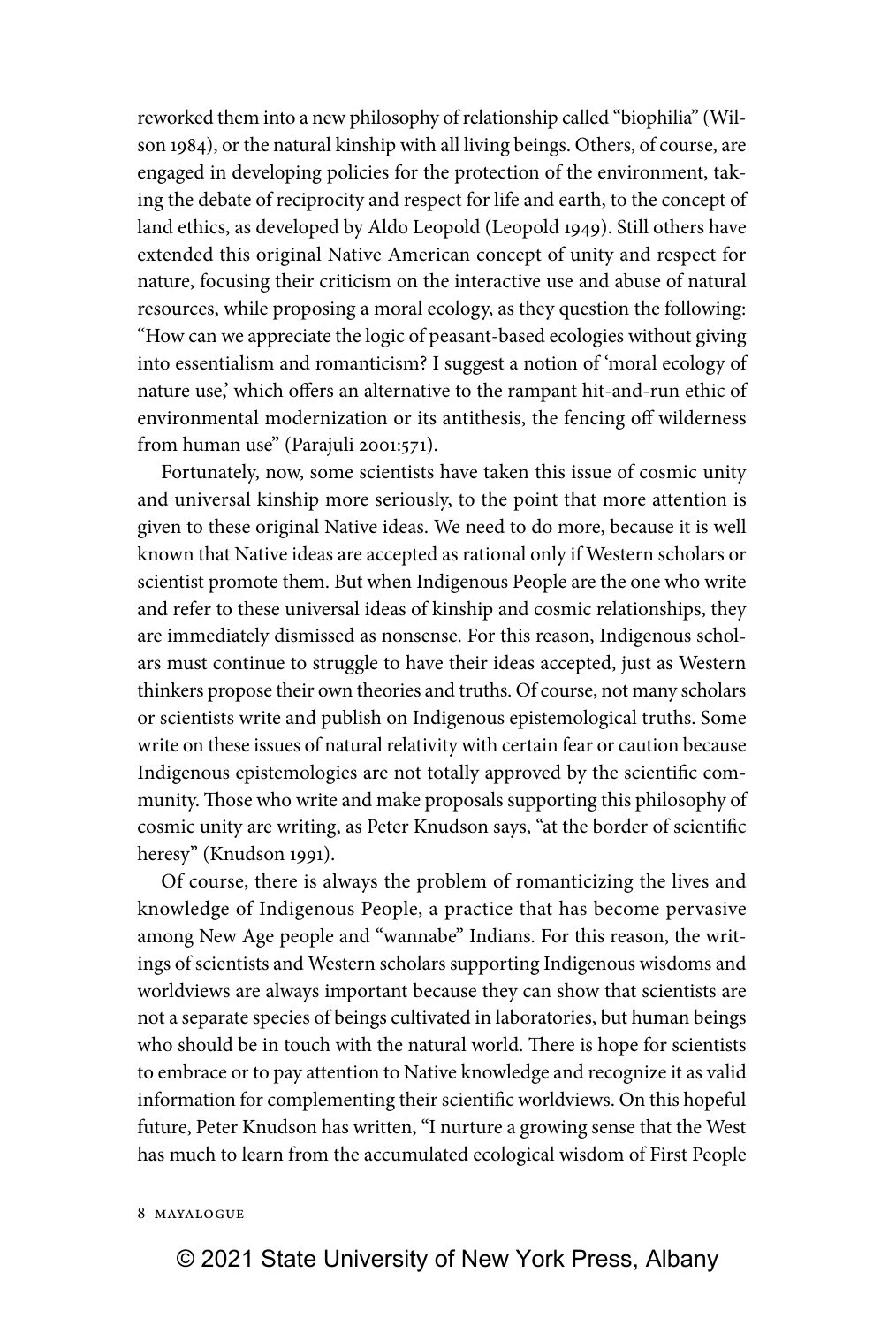reworked them into a new philosophy of relationship called "biophilia" (Wilson 1984), or the natural kinship with all living beings. Others, of course, are engaged in developing policies for the protection of the environment, taking the debate of reciprocity and respect for life and earth, to the concept of land ethics, as developed by Aldo Leopold (Leopold 1949). Still others have extended this original Native American concept of unity and respect for nature, focusing their criticism on the interactive use and abuse of natural resources, while proposing a moral ecology, as they question the following: "How can we appreciate the logic of peasant-based ecologies without giving into essentialism and romanticism? I suggest a notion of 'moral ecology of nature use,' which offers an alternative to the rampant hit-and-run ethic of environmental modernization or its antithesis, the fencing off wilderness from human use" (Parajuli 2001:571).

Fortunately, now, some scientists have taken this issue of cosmic unity and universal kinship more seriously, to the point that more attention is given to these original Native ideas. We need to do more, because it is well known that Native ideas are accepted as rational only if Western scholars or scientist promote them. But when Indigenous People are the one who write and refer to these universal ideas of kinship and cosmic relationships, they are immediately dismissed as nonsense. For this reason, Indigenous scholars must continue to struggle to have their ideas accepted, just as Western thinkers propose their own theories and truths. Of course, not many scholars or scientists write and publish on Indigenous epistemological truths. Some write on these issues of natural relativity with certain fear or caution because Indigenous epistemologies are not totally approved by the scientific community. Those who write and make proposals supporting this philosophy of cosmic unity are writing, as Peter Knudson says, "at the border of scientific heresy" (Knudson 1991).

Of course, there is always the problem of romanticizing the lives and knowledge of Indigenous People, a practice that has become pervasive among New Age people and "wannabe" Indians. For this reason, the writings of scientists and Western scholars supporting Indigenous wisdoms and worldviews are always important because they can show that scientists are not a separate species of beings cultivated in laboratories, but human beings who should be in touch with the natural world. There is hope for scientists to embrace or to pay attention to Native knowledge and recognize it as valid information for complementing their scientific worldviews. On this hopeful future, Peter Knudson has written, "I nurture a growing sense that the West has much to learn from the accumulated ecological wisdom of First People

### 8 Mayalogue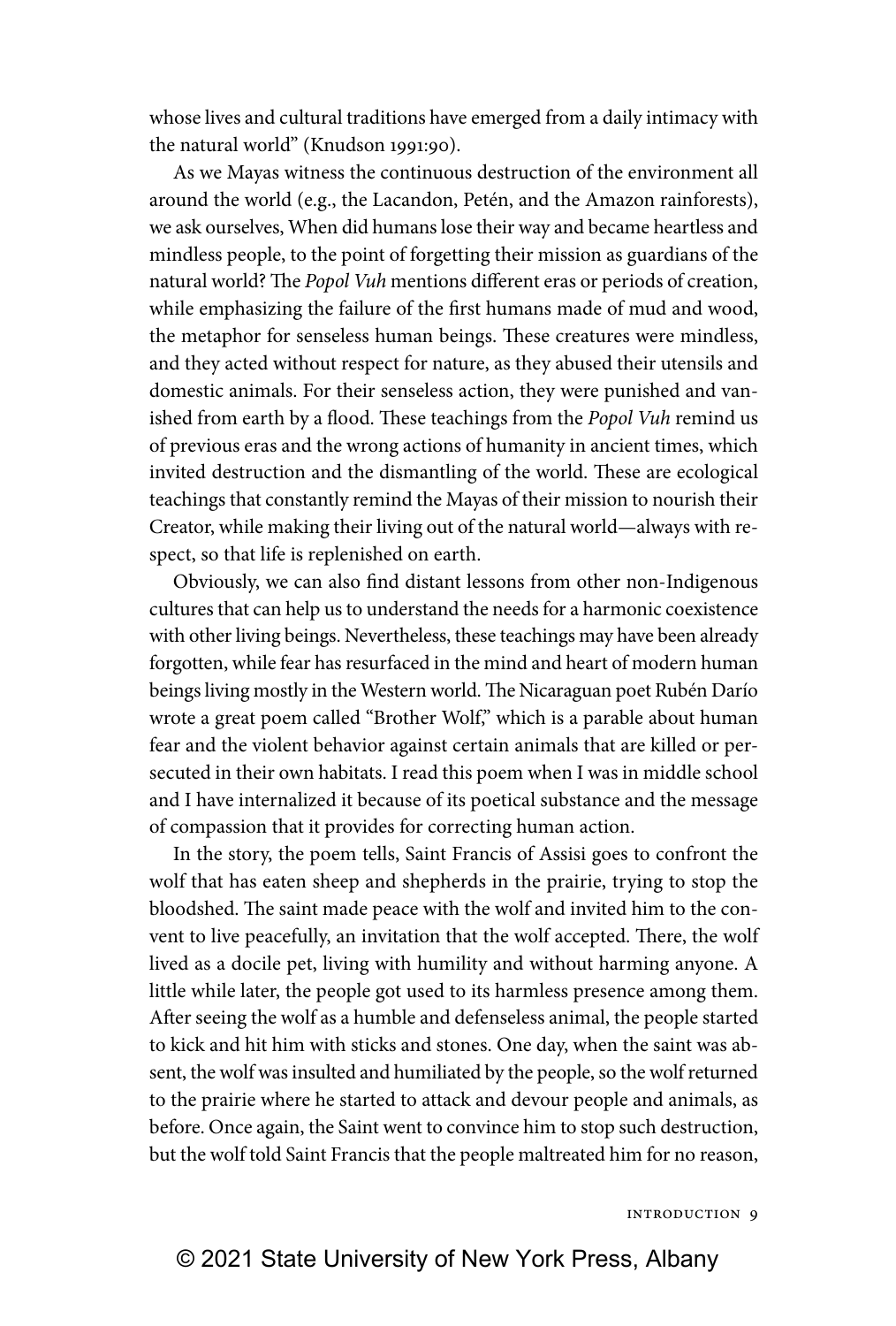whose lives and cultural traditions have emerged from a daily intimacy with the natural world" (Knudson 1991:90).

As we Mayas witness the continuous destruction of the environment all around the world (e.g., the Lacandon, Petén, and the Amazon rainforests), we ask ourselves, When did humans lose their way and became heartless and mindless people, to the point of forgetting their mission as guardians of the natural world? The *Popol Vuh* mentions different eras or periods of creation, while emphasizing the failure of the first humans made of mud and wood, the metaphor for senseless human beings. These creatures were mindless, and they acted without respect for nature, as they abused their utensils and domestic animals. For their senseless action, they were punished and vanished from earth by a flood. These teachings from the *Popol Vuh* remind us of previous eras and the wrong actions of humanity in ancient times, which invited destruction and the dismantling of the world. These are ecological teachings that constantly remind the Mayas of their mission to nourish their Creator, while making their living out of the natural world—always with respect, so that life is replenished on earth.

Obviously, we can also find distant lessons from other non-Indigenous cultures that can help us to understand the needs for a harmonic coexistence with other living beings. Nevertheless, these teachings may have been already forgotten, while fear has resurfaced in the mind and heart of modern human beings living mostly in the Western world. The Nicaraguan poet Rubén Darío wrote a great poem called "Brother Wolf," which is a parable about human fear and the violent behavior against certain animals that are killed or persecuted in their own habitats. I read this poem when I was in middle school and I have internalized it because of its poetical substance and the message of compassion that it provides for correcting human action.

In the story, the poem tells, Saint Francis of Assisi goes to confront the wolf that has eaten sheep and shepherds in the prairie, trying to stop the bloodshed. The saint made peace with the wolf and invited him to the convent to live peacefully, an invitation that the wolf accepted. There, the wolf lived as a docile pet, living with humility and without harming anyone. A little while later, the people got used to its harmless presence among them. After seeing the wolf as a humble and defenseless animal, the people started to kick and hit him with sticks and stones. One day, when the saint was absent, the wolf was insulted and humiliated by the people, so the wolf returned to the prairie where he started to attack and devour people and animals, as before. Once again, the Saint went to convince him to stop such destruction, but the wolf told Saint Francis that the people maltreated him for no reason,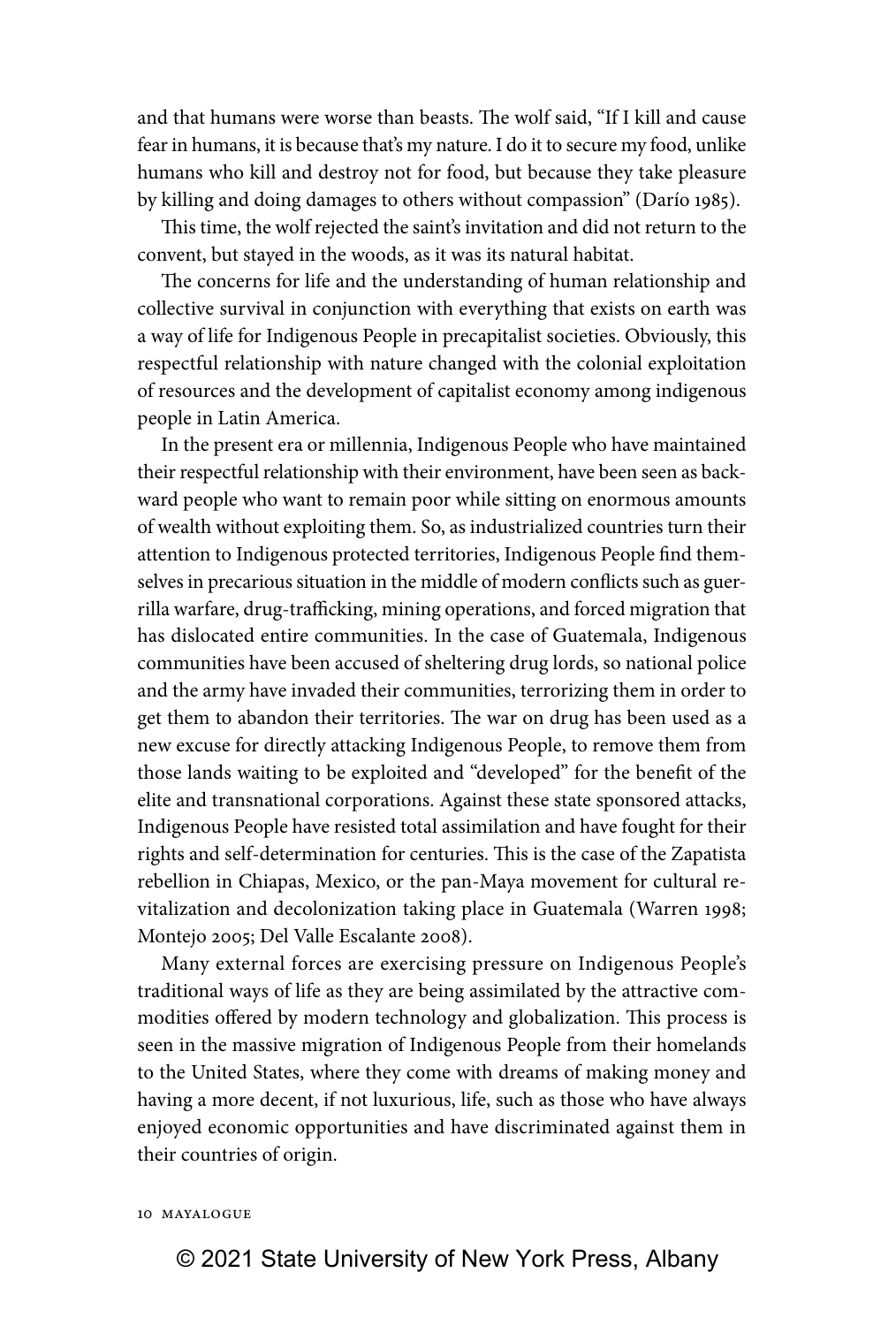and that humans were worse than beasts. The wolf said, "If I kill and cause fear in humans, it is because that's my nature. I do it to secure my food, unlike humans who kill and destroy not for food, but because they take pleasure by killing and doing damages to others without compassion" (Darío 1985).

This time, the wolf rejected the saint's invitation and did not return to the convent, but stayed in the woods, as it was its natural habitat.

The concerns for life and the understanding of human relationship and collective survival in conjunction with everything that exists on earth was a way of life for Indigenous People in precapitalist societies. Obviously, this respectful relationship with nature changed with the colonial exploitation of resources and the development of capitalist economy among indigenous people in Latin America.

In the present era or millennia, Indigenous People who have maintained their respectful relationship with their environment, have been seen as backward people who want to remain poor while sitting on enormous amounts of wealth without exploiting them. So, as industrialized countries turn their attention to Indigenous protected territories, Indigenous People find themselves in precarious situation in the middle of modern conflicts such as guerrilla warfare, drug-trafficking, mining operations, and forced migration that has dislocated entire communities. In the case of Guatemala, Indigenous communities have been accused of sheltering drug lords, so national police and the army have invaded their communities, terrorizing them in order to get them to abandon their territories. The war on drug has been used as a new excuse for directly attacking Indigenous People, to remove them from those lands waiting to be exploited and "developed" for the benefit of the elite and transnational corporations. Against these state sponsored attacks, Indigenous People have resisted total assimilation and have fought for their rights and self-determination for centuries. This is the case of the Zapatista rebellion in Chiapas, Mexico, or the pan-Maya movement for cultural revitalization and decolonization taking place in Guatemala (Warren 1998; Montejo 2005; Del Valle Escalante 2008).

Many external forces are exercising pressure on Indigenous People's traditional ways of life as they are being assimilated by the attractive commodities offered by modern technology and globalization. This process is seen in the massive migration of Indigenous People from their homelands to the United States, where they come with dreams of making money and having a more decent, if not luxurious, life, such as those who have always enjoyed economic opportunities and have discriminated against them in their countries of origin.

#### 10 Mayalogue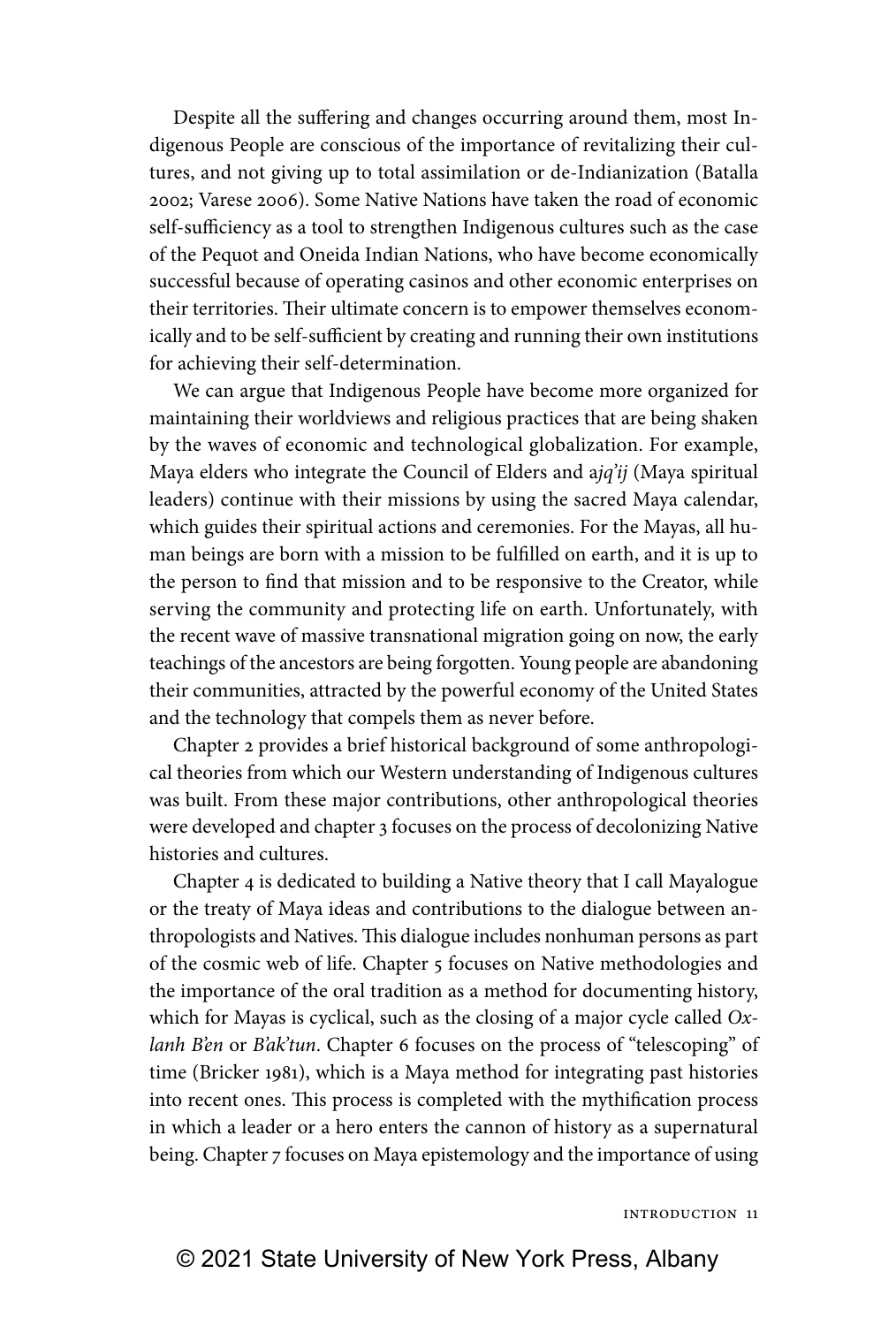Despite all the suffering and changes occurring around them, most Indigenous People are conscious of the importance of revitalizing their cultures, and not giving up to total assimilation or de-Indianization (Batalla 2002; Varese 2006). Some Native Nations have taken the road of economic self-sufficiency as a tool to strengthen Indigenous cultures such as the case of the Pequot and Oneida Indian Nations, who have become economically successful because of operating casinos and other economic enterprises on their territories. Their ultimate concern is to empower themselves economically and to be self-sufficient by creating and running their own institutions for achieving their self-determination.

We can argue that Indigenous People have become more organized for maintaining their worldviews and religious practices that are being shaken by the waves of economic and technological globalization. For example, Maya elders who integrate the Council of Elders and a*jq'ij* (Maya spiritual leaders) continue with their missions by using the sacred Maya calendar, which guides their spiritual actions and ceremonies. For the Mayas, all human beings are born with a mission to be fulfilled on earth, and it is up to the person to find that mission and to be responsive to the Creator, while serving the community and protecting life on earth. Unfortunately, with the recent wave of massive transnational migration going on now, the early teachings of the ancestors are being forgotten. Young people are abandoning their communities, attracted by the powerful economy of the United States and the technology that compels them as never before.

Chapter 2 provides a brief historical background of some anthropological theories from which our Western understanding of Indigenous cultures was built. From these major contributions, other anthropological theories were developed and chapter 3 focuses on the process of decolonizing Native histories and cultures.

Chapter 4 is dedicated to building a Native theory that I call Mayalogue or the treaty of Maya ideas and contributions to the dialogue between anthropologists and Natives. This dialogue includes nonhuman persons as part of the cosmic web of life. Chapter 5 focuses on Native methodologies and the importance of the oral tradition as a method for documenting history, which for Mayas is cyclical, such as the closing of a major cycle called *Oxlanh B'en* or *B'ak'tun*. Chapter 6 focuses on the process of "telescoping" of time (Bricker 1981), which is a Maya method for integrating past histories into recent ones. This process is completed with the mythification process in which a leader or a hero enters the cannon of history as a supernatural being. Chapter 7 focuses on Maya epistemology and the importance of using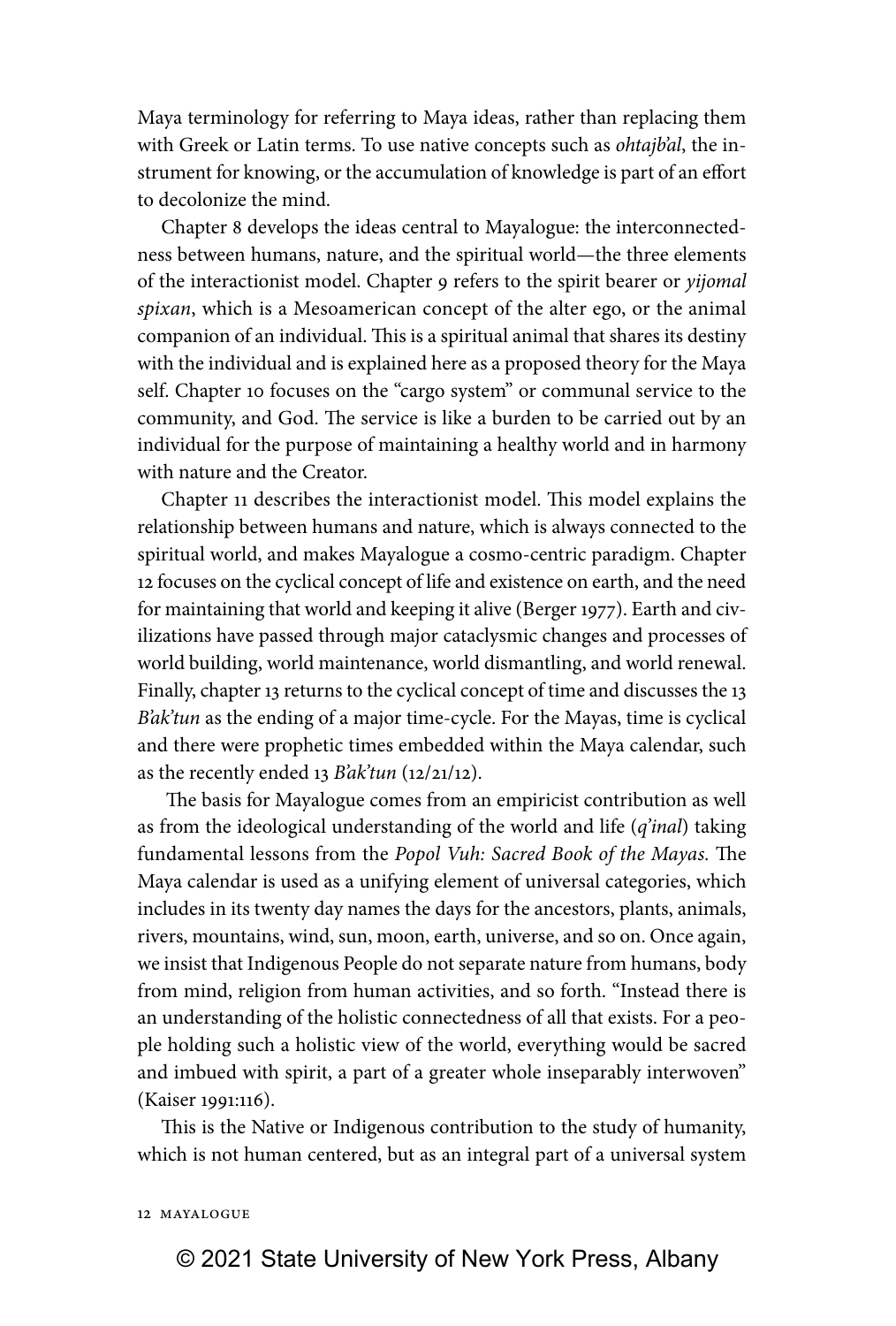Maya terminology for referring to Maya ideas, rather than replacing them with Greek or Latin terms. To use native concepts such as *ohtajb'al*, the instrument for knowing, or the accumulation of knowledge is part of an effort to decolonize the mind.

Chapter 8 develops the ideas central to Mayalogue: the interconnectedness between humans, nature, and the spiritual world—the three elements of the interactionist model. Chapter 9 refers to the spirit bearer or *yijomal spixan*, which is a Mesoamerican concept of the alter ego, or the animal companion of an individual. This is a spiritual animal that shares its destiny with the individual and is explained here as a proposed theory for the Maya self. Chapter 10 focuses on the "cargo system" or communal service to the community, and God. The service is like a burden to be carried out by an individual for the purpose of maintaining a healthy world and in harmony with nature and the Creator.

Chapter 11 describes the interactionist model. This model explains the relationship between humans and nature, which is always connected to the spiritual world, and makes Mayalogue a cosmo-centric paradigm. Chapter 12 focuses on the cyclical concept of life and existence on earth, and the need for maintaining that world and keeping it alive (Berger 1977). Earth and civilizations have passed through major cataclysmic changes and processes of world building, world maintenance, world dismantling, and world renewal. Finally, chapter 13 returns to the cyclical concept of time and discusses the 13 *B'ak'tun* as the ending of a major time-cycle. For the Mayas, time is cyclical and there were prophetic times embedded within the Maya calendar, such as the recently ended 13 *B'ak'tun* (12/21/12).

 The basis for Mayalogue comes from an empiricist contribution as well as from the ideological understanding of the world and life (*q'inal*) taking fundamental lessons from the *Popol Vuh: Sacred Book of the Mayas.* The Maya calendar is used as a unifying element of universal categories, which includes in its twenty day names the days for the ancestors, plants, animals, rivers, mountains, wind, sun, moon, earth, universe, and so on. Once again, we insist that Indigenous People do not separate nature from humans, body from mind, religion from human activities, and so forth. "Instead there is an understanding of the holistic connectedness of all that exists. For a people holding such a holistic view of the world, everything would be sacred and imbued with spirit, a part of a greater whole inseparably interwoven" (Kaiser 1991:116).

This is the Native or Indigenous contribution to the study of humanity, which is not human centered, but as an integral part of a universal system